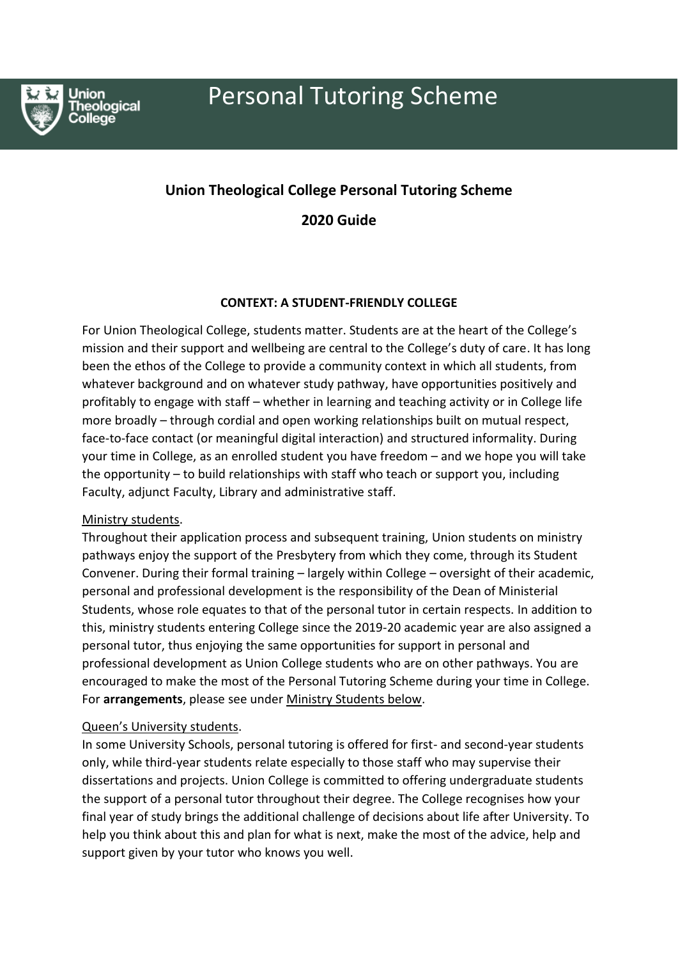

Jnion .......<br>heological<br>ollege

# Personal Tutoring Scheme

# **Union Theological College Personal Tutoring Scheme**

**2020 Guide**

# **CONTEXT: A STUDENT-FRIENDLY COLLEGE**

For Union Theological College, students matter. Students are at the heart of the College's mission and their support and wellbeing are central to the College's duty of care. It has long been the ethos of the College to provide a community context in which all students, from whatever background and on whatever study pathway, have opportunities positively and profitably to engage with staff – whether in learning and teaching activity or in College life more broadly – through cordial and open working relationships built on mutual respect, face-to-face contact (or meaningful digital interaction) and structured informality. During your time in College, as an enrolled student you have freedom – and we hope you will take the opportunity – to build relationships with staff who teach or support you, including Faculty, adjunct Faculty, Library and administrative staff.

#### Ministry students.

Throughout their application process and subsequent training, Union students on ministry pathways enjoy the support of the Presbytery from which they come, through its Student Convener. During their formal training – largely within College – oversight of their academic, personal and professional development is the responsibility of the Dean of Ministerial Students, whose role equates to that of the personal tutor in certain respects. In addition to this, ministry students entering College since the 2019-20 academic year are also assigned a personal tutor, thus enjoying the same opportunities for support in personal and professional development as Union College students who are on other pathways. You are encouraged to make the most of the Personal Tutoring Scheme during your time in College. For **arrangements**, please see under Ministry Students below.

#### Queen's University students.

In some University Schools, personal tutoring is offered for first- and second-year students only, while third-year students relate especially to those staff who may supervise their dissertations and projects. Union College is committed to offering undergraduate students the support of a personal tutor throughout their degree. The College recognises how your final year of study brings the additional challenge of decisions about life after University. To help you think about this and plan for what is next, make the most of the advice, help and support given by your tutor who knows you well.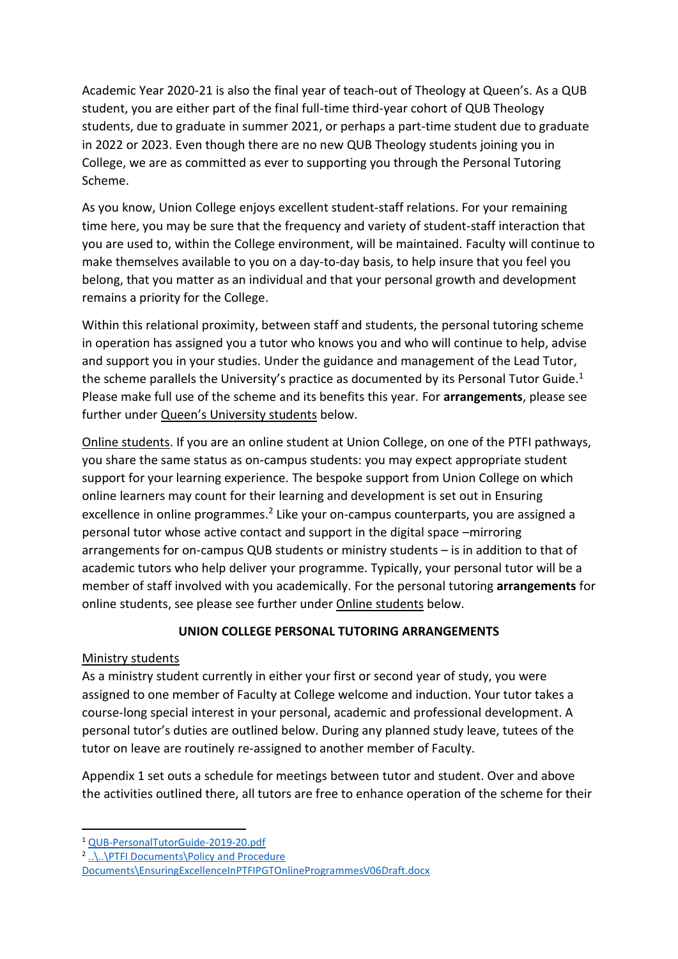Academic Year 2020-21 is also the final year of teach-out of Theology at Queen's. As a QUB student, you are either part of the final full-time third-year cohort of QUB Theology students, due to graduate in summer 2021, or perhaps a part-time student due to graduate in 2022 or 2023. Even though there are no new QUB Theology students joining you in College, we are as committed as ever to supporting you through the Personal Tutoring Scheme.

As you know, Union College enjoys excellent student-staff relations. For your remaining time here, you may be sure that the frequency and variety of student-staff interaction that you are used to, within the College environment, will be maintained. Faculty will continue to make themselves available to you on a day-to-day basis, to help insure that you feel you belong, that you matter as an individual and that your personal growth and development remains a priority for the College.

Within this relational proximity, between staff and students, the personal tutoring scheme in operation has assigned you a tutor who knows you and who will continue to help, advise and support you in your studies. Under the guidance and management of the Lead Tutor, the scheme parallels the University's practice as documented by its Personal Tutor Guide.<sup>1</sup> Please make full use of the scheme and its benefits this year. For **arrangements**, please see further under Queen's University students below.

Online students. If you are an online student at Union College, on one of the PTFI pathways, you share the same status as on-campus students: you may expect appropriate student support for your learning experience. The bespoke support from Union College on which online learners may count for their learning and development is set out in Ensuring excellence in online programmes.<sup>2</sup> Like your on-campus counterparts, you are assigned a personal tutor whose active contact and support in the digital space –mirroring arrangements for on-campus QUB students or ministry students – is in addition to that of academic tutors who help deliver your programme. Typically, your personal tutor will be a member of staff involved with you academically. For the personal tutoring **arrangements** for online students, see please see further under Online students below.

# **UNION COLLEGE PERSONAL TUTORING ARRANGEMENTS**

# Ministry students

**.** 

As a ministry student currently in either your first or second year of study, you were assigned to one member of Faculty at College welcome and induction. Your tutor takes a course-long special interest in your personal, academic and professional development. A personal tutor's duties are outlined below. During any planned study leave, tutees of the tutor on leave are routinely re-assigned to another member of Faculty.

Appendix 1 set outs a schedule for meetings between tutor and student. Over and above the activities outlined there, all tutors are free to enhance operation of the scheme for their

<sup>2</sup> ...\..\PTFI Documents\Policy and Procedure

<sup>1</sup> [QUB-PersonalTutorGuide-2019-20.pdf](file://///pci.local/UTCFaculty/Department/Student%20Affairs/Personal%20Tutoring/QUB-PersonalTutorGuide-2019-20.pdf)

[Documents\EnsuringExcellenceInPTFIPGTOnlineProgrammesV06Draft.docx](file://///pci.local/UTCFaculty/Department/PTFI%20Documents/Policy%20and%20Procedure%20Documents/EnsuringExcellenceInPTFIPGTOnlineProgrammesV06Draft.docx)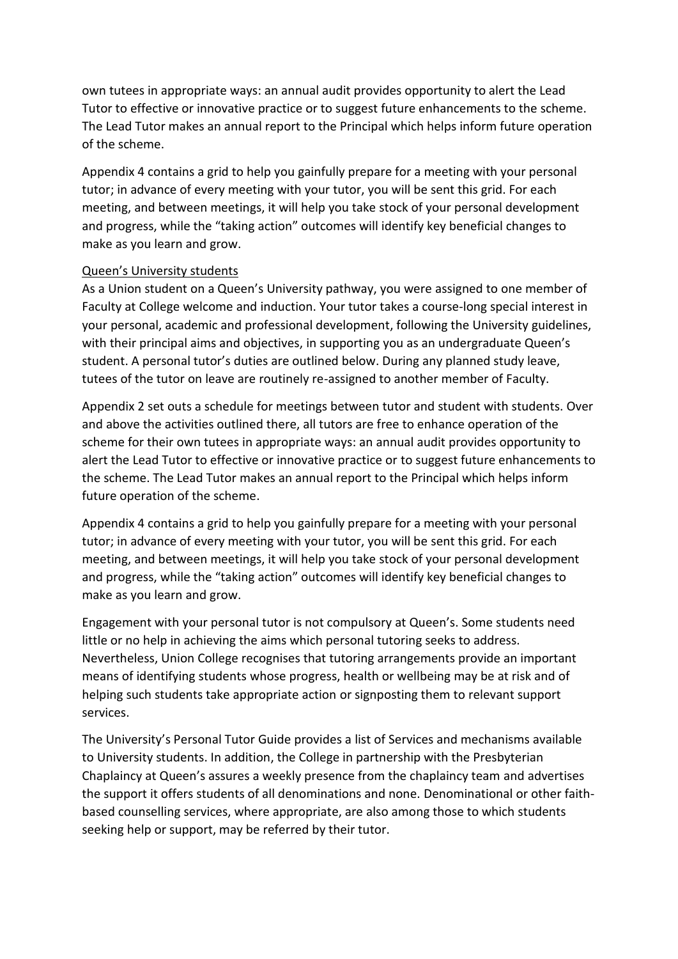own tutees in appropriate ways: an annual audit provides opportunity to alert the Lead Tutor to effective or innovative practice or to suggest future enhancements to the scheme. The Lead Tutor makes an annual report to the Principal which helps inform future operation of the scheme.

Appendix 4 contains a grid to help you gainfully prepare for a meeting with your personal tutor; in advance of every meeting with your tutor, you will be sent this grid. For each meeting, and between meetings, it will help you take stock of your personal development and progress, while the "taking action" outcomes will identify key beneficial changes to make as you learn and grow.

#### Queen's University students

As a Union student on a Queen's University pathway, you were assigned to one member of Faculty at College welcome and induction. Your tutor takes a course-long special interest in your personal, academic and professional development, following the University guidelines, with their principal aims and objectives, in supporting you as an undergraduate Queen's student. A personal tutor's duties are outlined below. During any planned study leave, tutees of the tutor on leave are routinely re-assigned to another member of Faculty.

Appendix 2 set outs a schedule for meetings between tutor and student with students. Over and above the activities outlined there, all tutors are free to enhance operation of the scheme for their own tutees in appropriate ways: an annual audit provides opportunity to alert the Lead Tutor to effective or innovative practice or to suggest future enhancements to the scheme. The Lead Tutor makes an annual report to the Principal which helps inform future operation of the scheme.

Appendix 4 contains a grid to help you gainfully prepare for a meeting with your personal tutor; in advance of every meeting with your tutor, you will be sent this grid. For each meeting, and between meetings, it will help you take stock of your personal development and progress, while the "taking action" outcomes will identify key beneficial changes to make as you learn and grow.

Engagement with your personal tutor is not compulsory at Queen's. Some students need little or no help in achieving the aims which personal tutoring seeks to address. Nevertheless, Union College recognises that tutoring arrangements provide an important means of identifying students whose progress, health or wellbeing may be at risk and of helping such students take appropriate action or signposting them to relevant support services.

The University's Personal Tutor Guide provides a list of Services and mechanisms available to University students. In addition, the College in partnership with the Presbyterian Chaplaincy at Queen's assures a weekly presence from the chaplaincy team and advertises the support it offers students of all denominations and none. Denominational or other faithbased counselling services, where appropriate, are also among those to which students seeking help or support, may be referred by their tutor.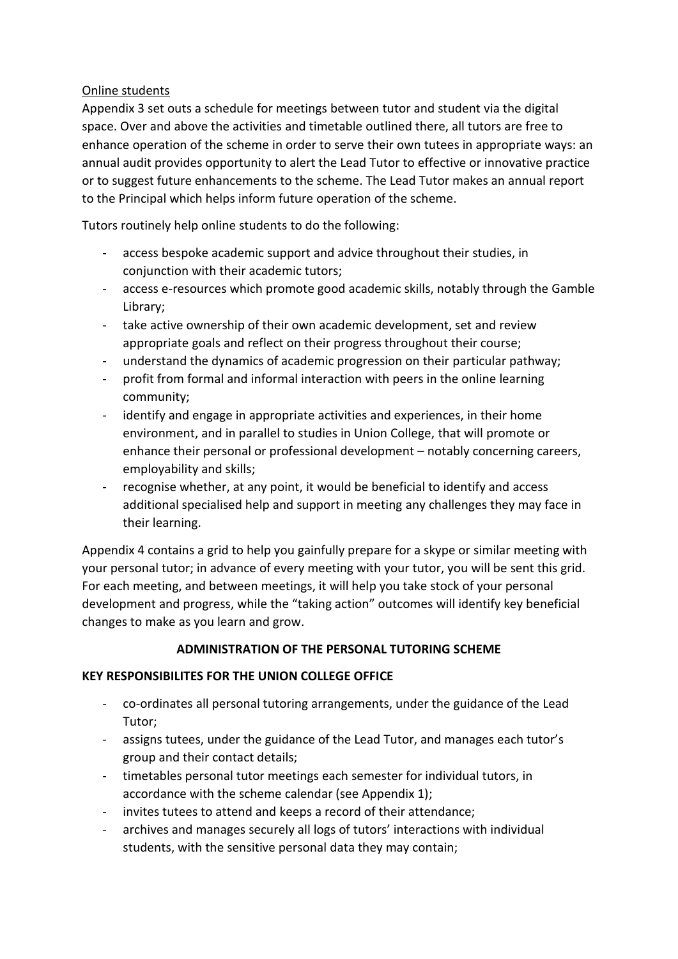### Online students

Appendix 3 set outs a schedule for meetings between tutor and student via the digital space. Over and above the activities and timetable outlined there, all tutors are free to enhance operation of the scheme in order to serve their own tutees in appropriate ways: an annual audit provides opportunity to alert the Lead Tutor to effective or innovative practice or to suggest future enhancements to the scheme. The Lead Tutor makes an annual report to the Principal which helps inform future operation of the scheme.

Tutors routinely help online students to do the following:

- access bespoke academic support and advice throughout their studies, in conjunction with their academic tutors;
- access e-resources which promote good academic skills, notably through the Gamble Library;
- take active ownership of their own academic development, set and review appropriate goals and reflect on their progress throughout their course;
- understand the dynamics of academic progression on their particular pathway;
- profit from formal and informal interaction with peers in the online learning community;
- identify and engage in appropriate activities and experiences, in their home environment, and in parallel to studies in Union College, that will promote or enhance their personal or professional development – notably concerning careers, employability and skills;
- recognise whether, at any point, it would be beneficial to identify and access additional specialised help and support in meeting any challenges they may face in their learning.

Appendix 4 contains a grid to help you gainfully prepare for a skype or similar meeting with your personal tutor; in advance of every meeting with your tutor, you will be sent this grid. For each meeting, and between meetings, it will help you take stock of your personal development and progress, while the "taking action" outcomes will identify key beneficial changes to make as you learn and grow.

# **ADMINISTRATION OF THE PERSONAL TUTORING SCHEME**

#### **KEY RESPONSIBILITES FOR THE UNION COLLEGE OFFICE**

- co-ordinates all personal tutoring arrangements, under the guidance of the Lead Tutor;
- assigns tutees, under the guidance of the Lead Tutor, and manages each tutor's group and their contact details;
- timetables personal tutor meetings each semester for individual tutors, in accordance with the scheme calendar (see Appendix 1);
- invites tutees to attend and keeps a record of their attendance;
- archives and manages securely all logs of tutors' interactions with individual students, with the sensitive personal data they may contain;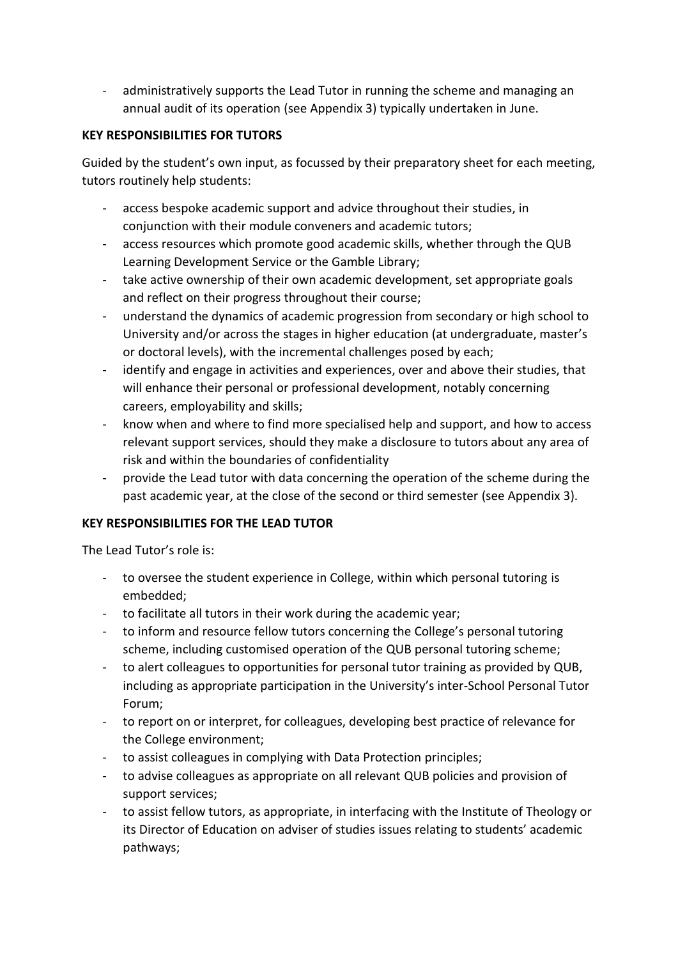- administratively supports the Lead Tutor in running the scheme and managing an annual audit of its operation (see Appendix 3) typically undertaken in June.

### **KEY RESPONSIBILITIES FOR TUTORS**

Guided by the student's own input, as focussed by their preparatory sheet for each meeting, tutors routinely help students:

- access bespoke academic support and advice throughout their studies, in conjunction with their module conveners and academic tutors;
- access resources which promote good academic skills, whether through the QUB Learning Development Service or the Gamble Library;
- take active ownership of their own academic development, set appropriate goals and reflect on their progress throughout their course;
- understand the dynamics of academic progression from secondary or high school to University and/or across the stages in higher education (at undergraduate, master's or doctoral levels), with the incremental challenges posed by each;
- identify and engage in activities and experiences, over and above their studies, that will enhance their personal or professional development, notably concerning careers, employability and skills;
- know when and where to find more specialised help and support, and how to access relevant support services, should they make a disclosure to tutors about any area of risk and within the boundaries of confidentiality
- provide the Lead tutor with data concerning the operation of the scheme during the past academic year, at the close of the second or third semester (see Appendix 3).

# **KEY RESPONSIBILITIES FOR THE LEAD TUTOR**

The Lead Tutor's role is:

- to oversee the student experience in College, within which personal tutoring is embedded;
- to facilitate all tutors in their work during the academic year;
- to inform and resource fellow tutors concerning the College's personal tutoring scheme, including customised operation of the QUB personal tutoring scheme;
- to alert colleagues to opportunities for personal tutor training as provided by QUB, including as appropriate participation in the University's inter-School Personal Tutor Forum;
- to report on or interpret, for colleagues, developing best practice of relevance for the College environment;
- to assist colleagues in complying with Data Protection principles;
- to advise colleagues as appropriate on all relevant QUB policies and provision of support services;
- to assist fellow tutors, as appropriate, in interfacing with the Institute of Theology or its Director of Education on adviser of studies issues relating to students' academic pathways;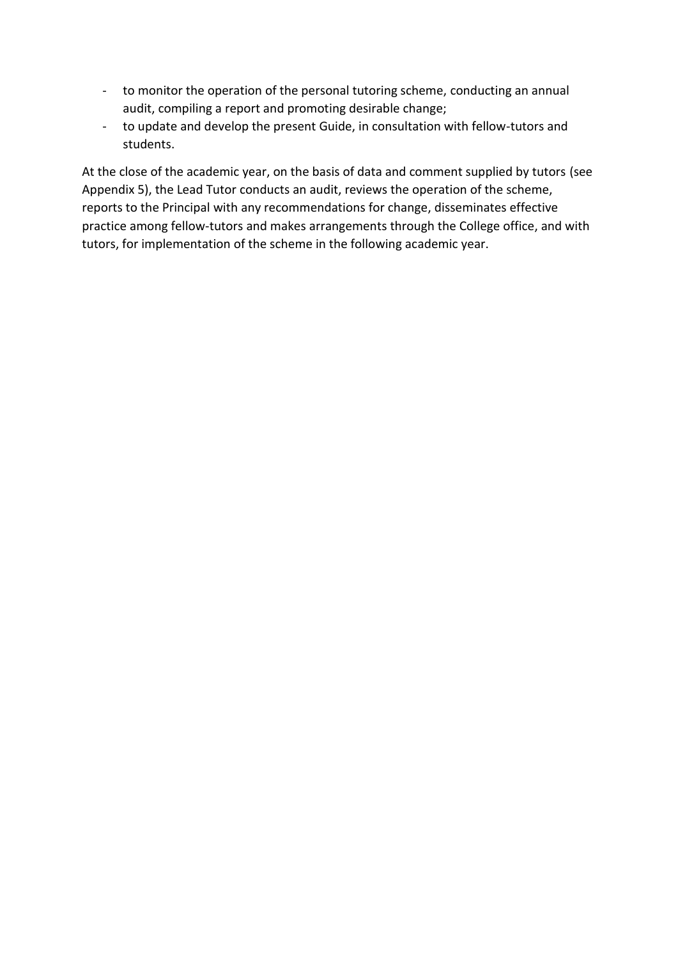- to monitor the operation of the personal tutoring scheme, conducting an annual audit, compiling a report and promoting desirable change;
- to update and develop the present Guide, in consultation with fellow-tutors and students.

At the close of the academic year, on the basis of data and comment supplied by tutors (see Appendix 5), the Lead Tutor conducts an audit, reviews the operation of the scheme, reports to the Principal with any recommendations for change, disseminates effective practice among fellow-tutors and makes arrangements through the College office, and with tutors, for implementation of the scheme in the following academic year.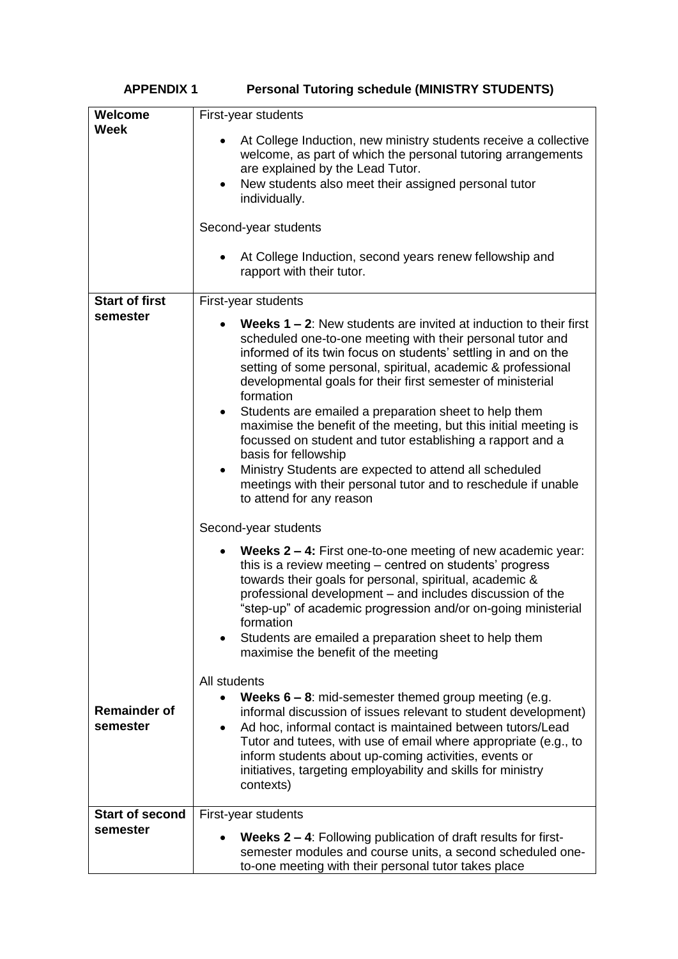| Welcome                         | First-year students                                                                                                                                                                                                                                                                                                                                                                                                                                                                                                                                                                                                                                                                                                                          |  |  |  |
|---------------------------------|----------------------------------------------------------------------------------------------------------------------------------------------------------------------------------------------------------------------------------------------------------------------------------------------------------------------------------------------------------------------------------------------------------------------------------------------------------------------------------------------------------------------------------------------------------------------------------------------------------------------------------------------------------------------------------------------------------------------------------------------|--|--|--|
| <b>Week</b>                     | At College Induction, new ministry students receive a collective<br>welcome, as part of which the personal tutoring arrangements<br>are explained by the Lead Tutor.<br>New students also meet their assigned personal tutor<br>individually.<br>Second-year students                                                                                                                                                                                                                                                                                                                                                                                                                                                                        |  |  |  |
|                                 | At College Induction, second years renew fellowship and<br>rapport with their tutor.                                                                                                                                                                                                                                                                                                                                                                                                                                                                                                                                                                                                                                                         |  |  |  |
| <b>Start of first</b>           | First-year students                                                                                                                                                                                                                                                                                                                                                                                                                                                                                                                                                                                                                                                                                                                          |  |  |  |
| semester                        | <b>Weeks 1 – 2:</b> New students are invited at induction to their first<br>scheduled one-to-one meeting with their personal tutor and<br>informed of its twin focus on students' settling in and on the<br>setting of some personal, spiritual, academic & professional<br>developmental goals for their first semester of ministerial<br>formation<br>Students are emailed a preparation sheet to help them<br>$\bullet$<br>maximise the benefit of the meeting, but this initial meeting is<br>focussed on student and tutor establishing a rapport and a<br>basis for fellowship<br>Ministry Students are expected to attend all scheduled<br>meetings with their personal tutor and to reschedule if unable<br>to attend for any reason |  |  |  |
|                                 | Second-year students                                                                                                                                                                                                                                                                                                                                                                                                                                                                                                                                                                                                                                                                                                                         |  |  |  |
|                                 | Weeks 2 – 4: First one-to-one meeting of new academic year:<br>this is a review meeting - centred on students' progress<br>towards their goals for personal, spiritual, academic &<br>professional development – and includes discussion of the<br>"step-up" of academic progression and/or on-going ministerial<br>formation<br>Students are emailed a preparation sheet to help them<br>$\bullet$<br>maximise the benefit of the meeting                                                                                                                                                                                                                                                                                                   |  |  |  |
| <b>Remainder of</b><br>semester | All students<br><b>Weeks <math>6 - 8</math>:</b> mid-semester themed group meeting (e.g.<br>informal discussion of issues relevant to student development)<br>Ad hoc, informal contact is maintained between tutors/Lead<br>$\bullet$<br>Tutor and tutees, with use of email where appropriate (e.g., to<br>inform students about up-coming activities, events or<br>initiatives, targeting employability and skills for ministry<br>contexts)                                                                                                                                                                                                                                                                                               |  |  |  |
| <b>Start of second</b>          | First-year students                                                                                                                                                                                                                                                                                                                                                                                                                                                                                                                                                                                                                                                                                                                          |  |  |  |
| semester                        | <b>Weeks 2 – 4:</b> Following publication of draft results for first-<br>semester modules and course units, a second scheduled one-<br>to-one meeting with their personal tutor takes place                                                                                                                                                                                                                                                                                                                                                                                                                                                                                                                                                  |  |  |  |

# **APPENDIX 1 Personal Tutoring schedule (MINISTRY STUDENTS)**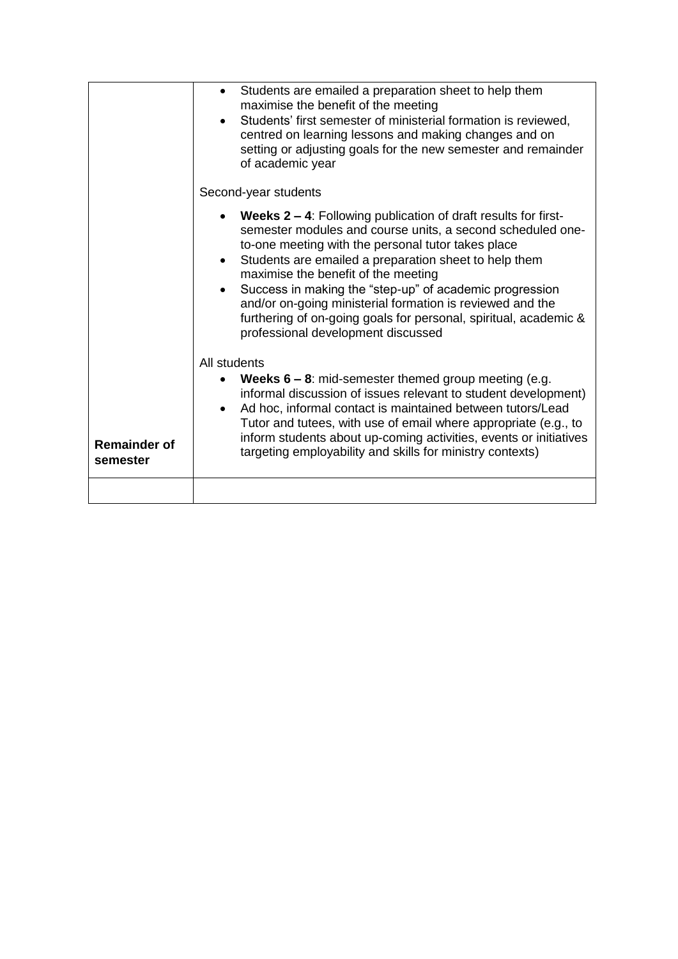|                                 | Students are emailed a preparation sheet to help them<br>maximise the benefit of the meeting<br>Students' first semester of ministerial formation is reviewed,<br>centred on learning lessons and making changes and on<br>setting or adjusting goals for the new semester and remainder<br>of academic year                                                                                                                                                                                                                             |
|---------------------------------|------------------------------------------------------------------------------------------------------------------------------------------------------------------------------------------------------------------------------------------------------------------------------------------------------------------------------------------------------------------------------------------------------------------------------------------------------------------------------------------------------------------------------------------|
|                                 | Second-year students                                                                                                                                                                                                                                                                                                                                                                                                                                                                                                                     |
|                                 | <b>Weeks 2 – 4:</b> Following publication of draft results for first-<br>semester modules and course units, a second scheduled one-<br>to-one meeting with the personal tutor takes place<br>Students are emailed a preparation sheet to help them<br>$\bullet$<br>maximise the benefit of the meeting<br>Success in making the "step-up" of academic progression<br>and/or on-going ministerial formation is reviewed and the<br>furthering of on-going goals for personal, spiritual, academic &<br>professional development discussed |
| <b>Remainder of</b><br>semester | All students<br><b>Weeks <math>6 - 8</math>:</b> mid-semester themed group meeting (e.g.<br>informal discussion of issues relevant to student development)<br>Ad hoc, informal contact is maintained between tutors/Lead<br>Tutor and tutees, with use of email where appropriate (e.g., to<br>inform students about up-coming activities, events or initiatives<br>targeting employability and skills for ministry contexts)                                                                                                            |
|                                 |                                                                                                                                                                                                                                                                                                                                                                                                                                                                                                                                          |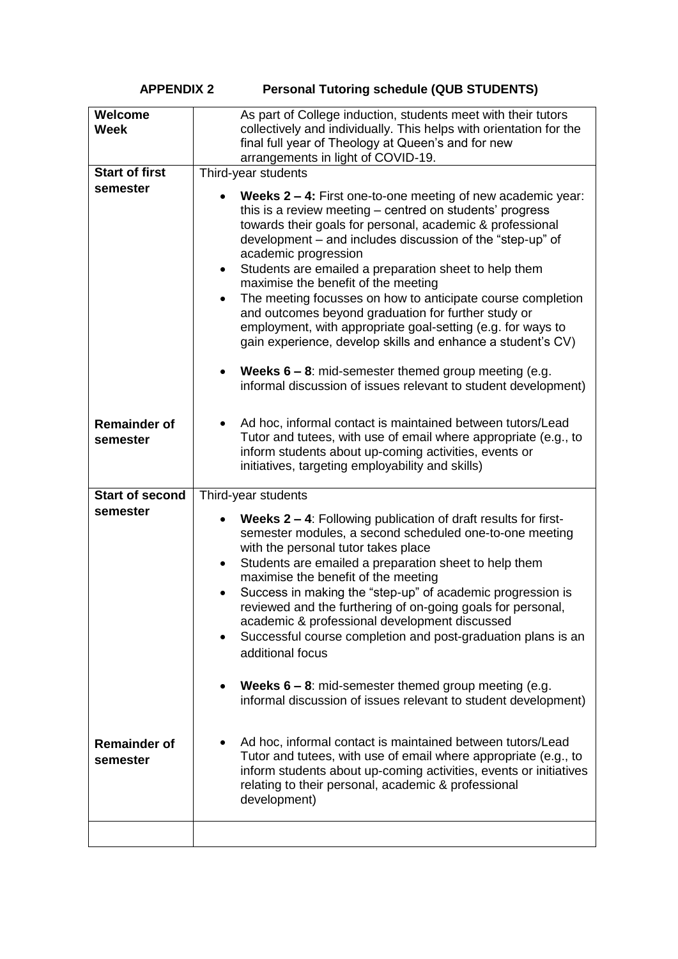# **APPENDIX 2 Personal Tutoring schedule (QUB STUDENTS)**

| Welcome<br><b>Week</b>          | As part of College induction, students meet with their tutors<br>collectively and individually. This helps with orientation for the<br>final full year of Theology at Queen's and for new<br>arrangements in light of COVID-19.                                                                                                                                                                                                                                                                                                                                                                                                                                                                                                                                                                                    |  |  |
|---------------------------------|--------------------------------------------------------------------------------------------------------------------------------------------------------------------------------------------------------------------------------------------------------------------------------------------------------------------------------------------------------------------------------------------------------------------------------------------------------------------------------------------------------------------------------------------------------------------------------------------------------------------------------------------------------------------------------------------------------------------------------------------------------------------------------------------------------------------|--|--|
| <b>Start of first</b>           | Third-year students                                                                                                                                                                                                                                                                                                                                                                                                                                                                                                                                                                                                                                                                                                                                                                                                |  |  |
| semester                        | Weeks 2 – 4: First one-to-one meeting of new academic year:<br>this is a review meeting - centred on students' progress<br>towards their goals for personal, academic & professional<br>development - and includes discussion of the "step-up" of<br>academic progression<br>Students are emailed a preparation sheet to help them<br>$\bullet$<br>maximise the benefit of the meeting<br>The meeting focusses on how to anticipate course completion<br>$\bullet$<br>and outcomes beyond graduation for further study or<br>employment, with appropriate goal-setting (e.g. for ways to<br>gain experience, develop skills and enhance a student's CV)<br><b>Weeks <math>6 - 8</math>:</b> mid-semester themed group meeting (e.g.<br>$\bullet$<br>informal discussion of issues relevant to student development) |  |  |
| <b>Remainder of</b><br>semester | Ad hoc, informal contact is maintained between tutors/Lead<br>$\bullet$<br>Tutor and tutees, with use of email where appropriate (e.g., to<br>inform students about up-coming activities, events or<br>initiatives, targeting employability and skills)                                                                                                                                                                                                                                                                                                                                                                                                                                                                                                                                                            |  |  |
| <b>Start of second</b>          | Third-year students                                                                                                                                                                                                                                                                                                                                                                                                                                                                                                                                                                                                                                                                                                                                                                                                |  |  |
| semester                        | <b>Weeks 2 – 4:</b> Following publication of draft results for first-<br>semester modules, a second scheduled one-to-one meeting<br>with the personal tutor takes place<br>Students are emailed a preparation sheet to help them<br>$\bullet$<br>maximise the benefit of the meeting<br>Success in making the "step-up" of academic progression is<br>reviewed and the furthering of on-going goals for personal,<br>academic & professional development discussed<br>Successful course completion and post-graduation plans is an<br>٠<br>additional focus<br><b>Weeks <math>6 - 8</math>:</b> mid-semester themed group meeting (e.g.<br>$\bullet$<br>informal discussion of issues relevant to student development)                                                                                             |  |  |
| <b>Remainder of</b><br>semester | Ad hoc, informal contact is maintained between tutors/Lead<br>Tutor and tutees, with use of email where appropriate (e.g., to<br>inform students about up-coming activities, events or initiatives<br>relating to their personal, academic & professional<br>development)                                                                                                                                                                                                                                                                                                                                                                                                                                                                                                                                          |  |  |
|                                 |                                                                                                                                                                                                                                                                                                                                                                                                                                                                                                                                                                                                                                                                                                                                                                                                                    |  |  |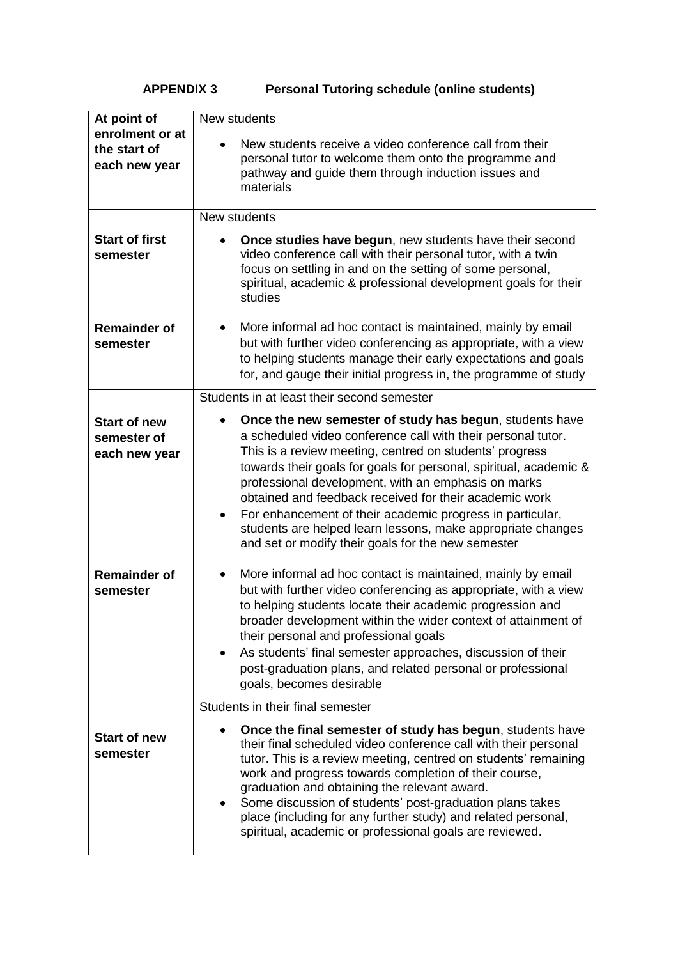# **APPENDIX 3 Personal Tutoring schedule (online students)**

| At point of                                                                            | New students                                                                                                                                                                                                                                                                                                                                                                                                                                                                                                                                                                                                                                                                                                                                                           |  |  |
|----------------------------------------------------------------------------------------|------------------------------------------------------------------------------------------------------------------------------------------------------------------------------------------------------------------------------------------------------------------------------------------------------------------------------------------------------------------------------------------------------------------------------------------------------------------------------------------------------------------------------------------------------------------------------------------------------------------------------------------------------------------------------------------------------------------------------------------------------------------------|--|--|
| enrolment or at<br>the start of<br>each new year                                       | New students receive a video conference call from their<br>personal tutor to welcome them onto the programme and<br>pathway and guide them through induction issues and<br>materials                                                                                                                                                                                                                                                                                                                                                                                                                                                                                                                                                                                   |  |  |
|                                                                                        | New students                                                                                                                                                                                                                                                                                                                                                                                                                                                                                                                                                                                                                                                                                                                                                           |  |  |
| <b>Start of first</b><br>semester                                                      | <b>Once studies have begun, new students have their second</b><br>video conference call with their personal tutor, with a twin<br>focus on settling in and on the setting of some personal,<br>spiritual, academic & professional development goals for their<br>studies                                                                                                                                                                                                                                                                                                                                                                                                                                                                                               |  |  |
| <b>Remainder of</b><br>semester                                                        | More informal ad hoc contact is maintained, mainly by email<br>but with further video conferencing as appropriate, with a view<br>to helping students manage their early expectations and goals<br>for, and gauge their initial progress in, the programme of study                                                                                                                                                                                                                                                                                                                                                                                                                                                                                                    |  |  |
|                                                                                        | Students in at least their second semester                                                                                                                                                                                                                                                                                                                                                                                                                                                                                                                                                                                                                                                                                                                             |  |  |
| <b>Start of new</b><br>semester of<br>each new year<br><b>Remainder of</b><br>semester | Once the new semester of study has begun, students have<br>a scheduled video conference call with their personal tutor.<br>This is a review meeting, centred on students' progress<br>towards their goals for goals for personal, spiritual, academic &<br>professional development, with an emphasis on marks<br>obtained and feedback received for their academic work<br>For enhancement of their academic progress in particular,<br>$\bullet$<br>students are helped learn lessons, make appropriate changes<br>and set or modify their goals for the new semester<br>More informal ad hoc contact is maintained, mainly by email<br>but with further video conferencing as appropriate, with a view<br>to helping students locate their academic progression and |  |  |
|                                                                                        | broader development within the wider context of attainment of<br>their personal and professional goals<br>As students' final semester approaches, discussion of their<br>$\bullet$<br>post-graduation plans, and related personal or professional<br>goals, becomes desirable                                                                                                                                                                                                                                                                                                                                                                                                                                                                                          |  |  |
|                                                                                        | Students in their final semester                                                                                                                                                                                                                                                                                                                                                                                                                                                                                                                                                                                                                                                                                                                                       |  |  |
| <b>Start of new</b><br>semester                                                        | Once the final semester of study has begun, students have<br>their final scheduled video conference call with their personal<br>tutor. This is a review meeting, centred on students' remaining<br>work and progress towards completion of their course,<br>graduation and obtaining the relevant award.<br>Some discussion of students' post-graduation plans takes<br>place (including for any further study) and related personal,<br>spiritual, academic or professional goals are reviewed.                                                                                                                                                                                                                                                                       |  |  |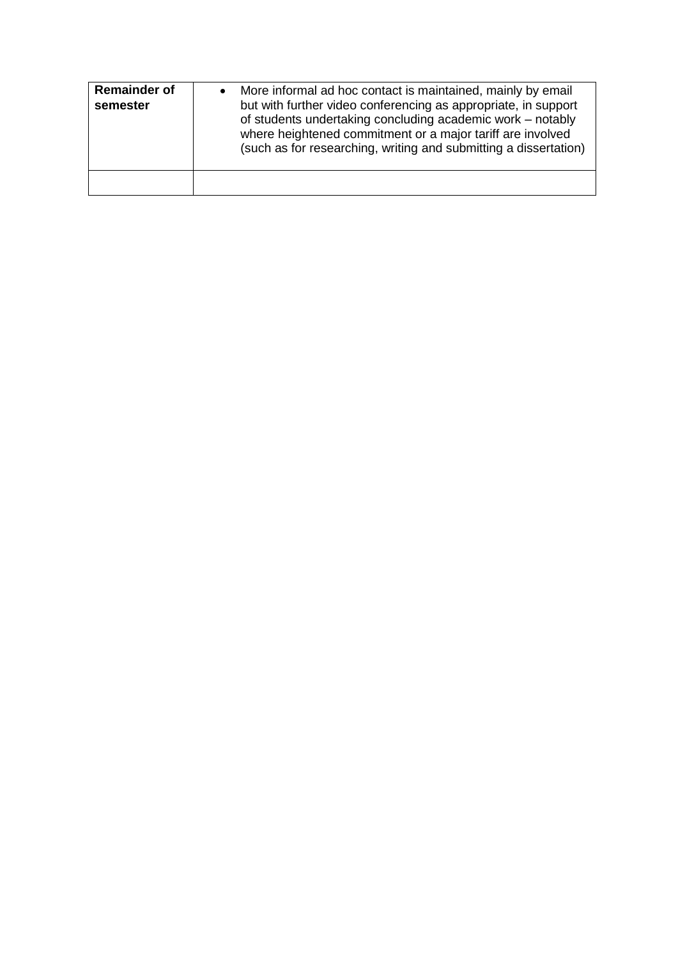| <b>Remainder of</b><br>semester | More informal ad hoc contact is maintained, mainly by email<br>but with further video conferencing as appropriate, in support<br>of students undertaking concluding academic work - notably<br>where heightened commitment or a major tariff are involved<br>(such as for researching, writing and submitting a dissertation) |
|---------------------------------|-------------------------------------------------------------------------------------------------------------------------------------------------------------------------------------------------------------------------------------------------------------------------------------------------------------------------------|
|                                 |                                                                                                                                                                                                                                                                                                                               |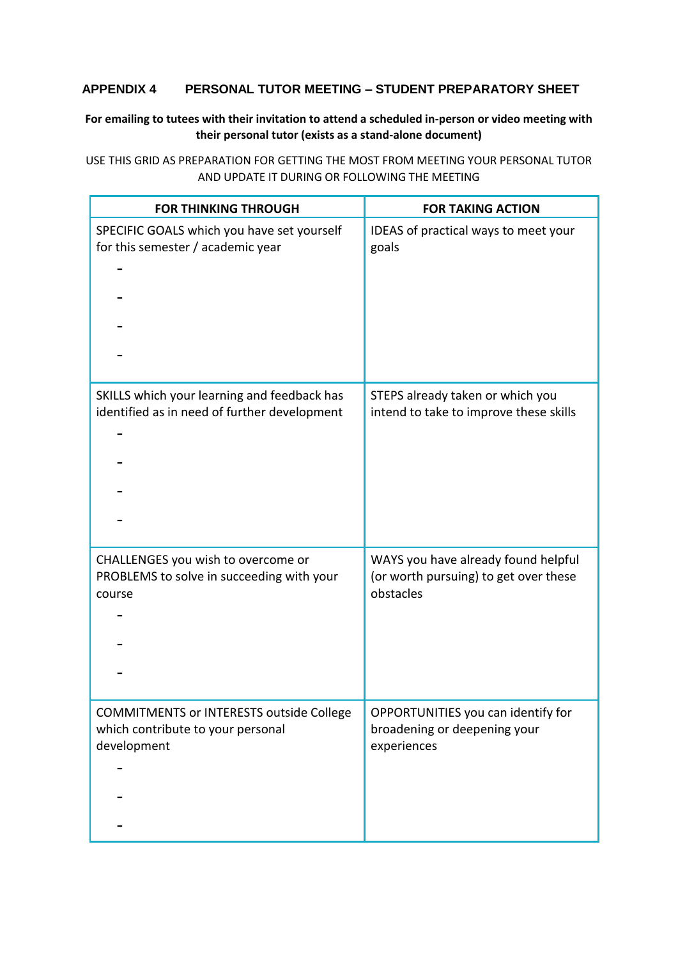#### **APPENDIX 4 PERSONAL TUTOR MEETING – STUDENT PREPARATORY SHEET**

#### **For emailing to tutees with their invitation to attend a scheduled in-person or video meeting with their personal tutor (exists as a stand-alone document)**

USE THIS GRID AS PREPARATION FOR GETTING THE MOST FROM MEETING YOUR PERSONAL TUTOR AND UPDATE IT DURING OR FOLLOWING THE MEETING

| <b>FOR THINKING THROUGH</b>                     | <b>FOR TAKING ACTION</b>               |  |
|-------------------------------------------------|----------------------------------------|--|
| SPECIFIC GOALS which you have set yourself      | IDEAS of practical ways to meet your   |  |
| for this semester / academic year               | goals                                  |  |
| SKILLS which your learning and feedback has     | STEPS already taken or which you       |  |
| identified as in need of further development    | intend to take to improve these skills |  |
| CHALLENGES you wish to overcome or              | WAYS you have already found helpful    |  |
| PROBLEMS to solve in succeeding with your       | (or worth pursuing) to get over these  |  |
| course                                          | obstacles                              |  |
| <b>COMMITMENTS or INTERESTS outside College</b> | OPPORTUNITIES you can identify for     |  |
| which contribute to your personal               | broadening or deepening your           |  |
| development                                     | experiences                            |  |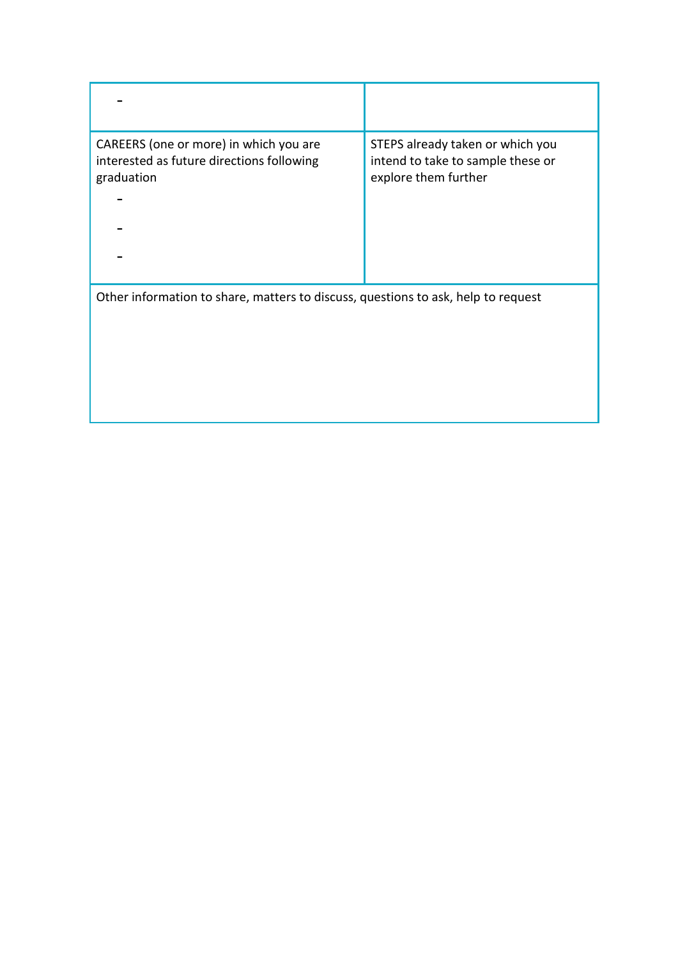| CAREERS (one or more) in which you are<br>interested as future directions following<br>graduation | STEPS already taken or which you<br>intend to take to sample these or<br>explore them further |
|---------------------------------------------------------------------------------------------------|-----------------------------------------------------------------------------------------------|
| Other information to share, matters to discuss, questions to ask, help to request                 |                                                                                               |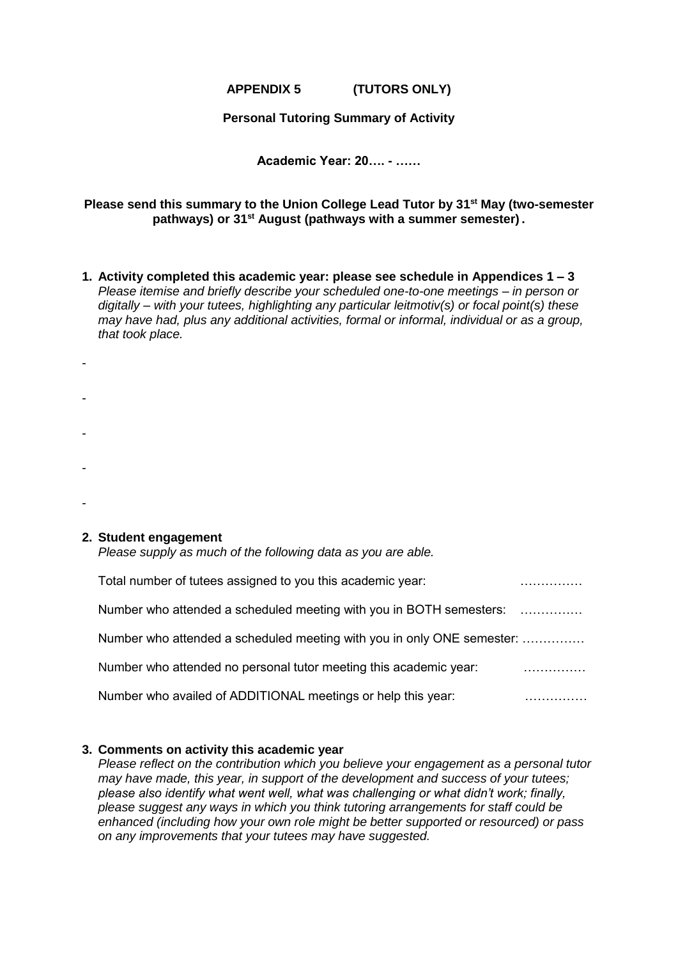#### **APPENDIX 5 (TUTORS ONLY)**

#### **Personal Tutoring Summary of Activity**

#### **Academic Year: 20…. - ……**

#### Please send this summary to the Union College Lead Tutor by 31<sup>st</sup> May (two-semester **pathways) or 31st August (pathways with a summer semester) .**

- **1. Activity completed this academic year: please see schedule in Appendices 1 – 3**  *Please itemise and briefly describe your scheduled one-to-one meetings – in person or digitally – with your tutees, highlighting any particular leitmotiv(s) or focal point(s) these may have had, plus any additional activities, formal or informal, individual or as a group, that took place.*
- -

-

-

-

-

**2. Student engagement**

*Please supply as much of the following data as you are able.* 

| Total number of tutees assigned to you this academic year:             |  |
|------------------------------------------------------------------------|--|
| Number who attended a scheduled meeting with you in BOTH semesters:    |  |
| Number who attended a scheduled meeting with you in only ONE semester: |  |
| Number who attended no personal tutor meeting this academic year:      |  |
| Number who availed of ADDITIONAL meetings or help this year:           |  |

#### **3. Comments on activity this academic year**

*Please reflect on the contribution which you believe your engagement as a personal tutor may have made, this year, in support of the development and success of your tutees; please also identify what went well, what was challenging or what didn't work; finally, please suggest any ways in which you think tutoring arrangements for staff could be enhanced (including how your own role might be better supported or resourced) or pass on any improvements that your tutees may have suggested.*